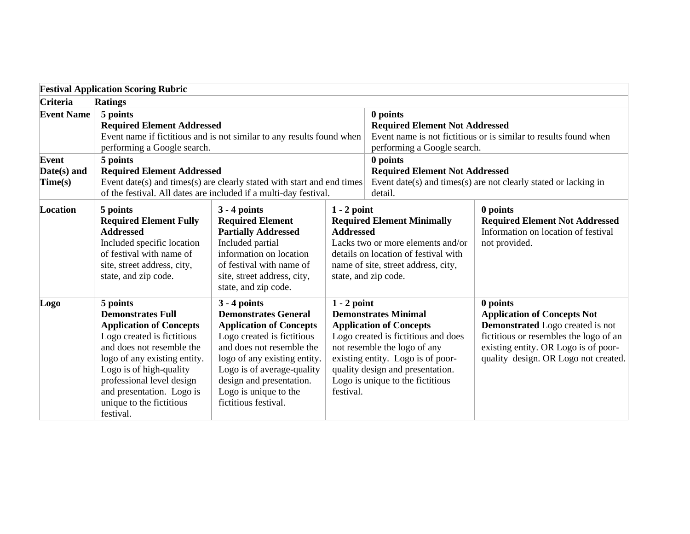|                                 | <b>Festival Application Scoring Rubric</b>                                                                                                                                                                                                                                                      |                                                                                                                                                                                                                                                                                       |                                                                                                                                                                                                                    |                                                                                                                                                                                                                                                   |                                                                                                                                                                                                                     |  |
|---------------------------------|-------------------------------------------------------------------------------------------------------------------------------------------------------------------------------------------------------------------------------------------------------------------------------------------------|---------------------------------------------------------------------------------------------------------------------------------------------------------------------------------------------------------------------------------------------------------------------------------------|--------------------------------------------------------------------------------------------------------------------------------------------------------------------------------------------------------------------|---------------------------------------------------------------------------------------------------------------------------------------------------------------------------------------------------------------------------------------------------|---------------------------------------------------------------------------------------------------------------------------------------------------------------------------------------------------------------------|--|
| Criteria                        | <b>Ratings</b>                                                                                                                                                                                                                                                                                  |                                                                                                                                                                                                                                                                                       |                                                                                                                                                                                                                    |                                                                                                                                                                                                                                                   |                                                                                                                                                                                                                     |  |
| <b>Event Name</b>               | 5 points<br><b>Required Element Addressed</b><br>Event name if fictitious and is not similar to any results found when<br>performing a Google search.                                                                                                                                           |                                                                                                                                                                                                                                                                                       | 0 points<br><b>Required Element Not Addressed</b><br>Event name is not fictitious or is similar to results found when<br>performing a Google search.                                                               |                                                                                                                                                                                                                                                   |                                                                                                                                                                                                                     |  |
| Event<br>Date(s) and<br>Time(s) | 5 points<br><b>Required Element Addressed</b><br>Event date(s) and times(s) are clearly stated with start and end times<br>of the festival. All dates are included if a multi-day festival.                                                                                                     |                                                                                                                                                                                                                                                                                       |                                                                                                                                                                                                                    | 0 points<br><b>Required Element Not Addressed</b><br>Event date(s) and times(s) are not clearly stated or lacking in<br>detail.                                                                                                                   |                                                                                                                                                                                                                     |  |
| Location                        | 5 points<br><b>Required Element Fully</b><br><b>Addressed</b><br>Included specific location<br>of festival with name of<br>site, street address, city,<br>state, and zip code.                                                                                                                  | $3 - 4$ points<br><b>Required Element</b><br><b>Partially Addressed</b><br>Included partial<br>information on location<br>of festival with name of<br>site, street address, city,<br>state, and zip code.                                                                             | $1 - 2$ point<br><b>Required Element Minimally</b><br><b>Addressed</b><br>Lacks two or more elements and/or<br>details on location of festival with<br>name of site, street address, city,<br>state, and zip code. |                                                                                                                                                                                                                                                   | 0 points<br><b>Required Element Not Addressed</b><br>Information on location of festival<br>not provided.                                                                                                           |  |
| Logo                            | 5 points<br><b>Demonstrates Full</b><br><b>Application of Concepts</b><br>Logo created is fictitious<br>and does not resemble the<br>logo of any existing entity.<br>Logo is of high-quality<br>professional level design<br>and presentation. Logo is<br>unique to the fictitious<br>festival. | $3 - 4$ points<br><b>Demonstrates General</b><br><b>Application of Concepts</b><br>Logo created is fictitious<br>and does not resemble the<br>logo of any existing entity.<br>Logo is of average-quality<br>design and presentation.<br>Logo is unique to the<br>fictitious festival. | $1 - 2$ point<br>festival.                                                                                                                                                                                         | <b>Demonstrates Minimal</b><br><b>Application of Concepts</b><br>Logo created is fictitious and does<br>not resemble the logo of any<br>existing entity. Logo is of poor-<br>quality design and presentation.<br>Logo is unique to the fictitious | 0 points<br><b>Application of Concepts Not</b><br><b>Demonstrated</b> Logo created is not<br>fictitious or resembles the logo of an<br>existing entity. OR Logo is of poor-<br>quality design. OR Logo not created. |  |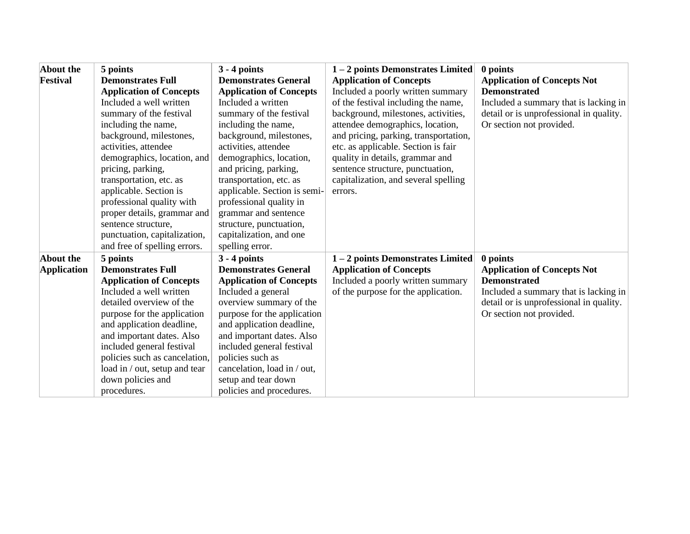| About the<br>Festival    | 5 points<br><b>Demonstrates Full</b><br><b>Application of Concepts</b><br>Included a well written<br>summary of the festival<br>including the name,<br>background, milestones,<br>activities, attendee<br>demographics, location, and<br>pricing, parking,<br>transportation, etc. as<br>applicable. Section is<br>professional quality with<br>proper details, grammar and<br>sentence structure,<br>punctuation, capitalization,<br>and free of spelling errors. | $3 - 4$ points<br><b>Demonstrates General</b><br><b>Application of Concepts</b><br>Included a written<br>summary of the festival<br>including the name,<br>background, milestones,<br>activities, attendee<br>demographics, location,<br>and pricing, parking,<br>transportation, etc. as<br>applicable. Section is semi-<br>professional quality in<br>grammar and sentence<br>structure, punctuation,<br>capitalization, and one<br>spelling error. | 1-2 points Demonstrates Limited<br><b>Application of Concepts</b><br>Included a poorly written summary<br>of the festival including the name,<br>background, milestones, activities,<br>attendee demographics, location,<br>and pricing, parking, transportation,<br>etc. as applicable. Section is fair<br>quality in details, grammar and<br>sentence structure, punctuation,<br>capitalization, and several spelling<br>errors. | 0 points<br><b>Application of Concepts Not</b><br><b>Demonstrated</b><br>Included a summary that is lacking in<br>detail or is unprofessional in quality.<br>Or section not provided. |
|--------------------------|--------------------------------------------------------------------------------------------------------------------------------------------------------------------------------------------------------------------------------------------------------------------------------------------------------------------------------------------------------------------------------------------------------------------------------------------------------------------|-------------------------------------------------------------------------------------------------------------------------------------------------------------------------------------------------------------------------------------------------------------------------------------------------------------------------------------------------------------------------------------------------------------------------------------------------------|------------------------------------------------------------------------------------------------------------------------------------------------------------------------------------------------------------------------------------------------------------------------------------------------------------------------------------------------------------------------------------------------------------------------------------|---------------------------------------------------------------------------------------------------------------------------------------------------------------------------------------|
| About the<br>Application | 5 points<br><b>Demonstrates Full</b><br><b>Application of Concepts</b><br>Included a well written<br>detailed overview of the<br>purpose for the application<br>and application deadline,<br>and important dates. Also<br>included general festival<br>policies such as cancelation,<br>load in / out, setup and tear<br>down policies and<br>procedures.                                                                                                          | $3 - 4$ points<br><b>Demonstrates General</b><br><b>Application of Concepts</b><br>Included a general<br>overview summary of the<br>purpose for the application<br>and application deadline,<br>and important dates. Also<br>included general festival<br>policies such as<br>cancelation, load in / out,<br>setup and tear down<br>policies and procedures.                                                                                          | 1-2 points Demonstrates Limited<br><b>Application of Concepts</b><br>Included a poorly written summary<br>of the purpose for the application.                                                                                                                                                                                                                                                                                      | 0 points<br><b>Application of Concepts Not</b><br><b>Demonstrated</b><br>Included a summary that is lacking in<br>detail or is unprofessional in quality.<br>Or section not provided. |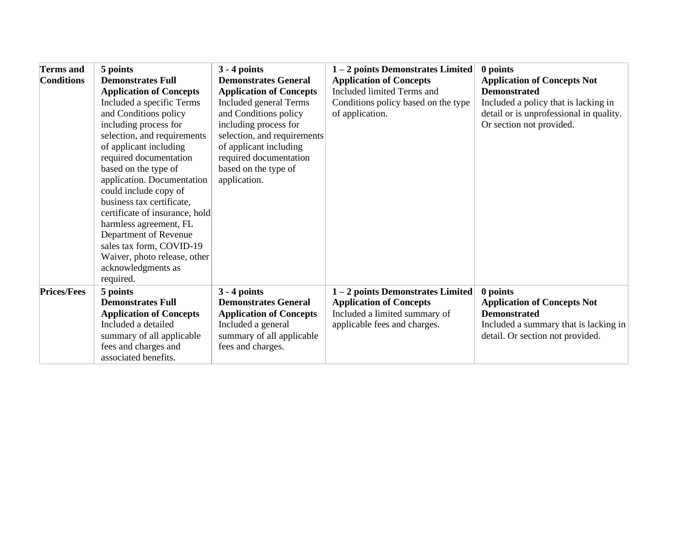| <b>Terms</b> and<br><b>Conditions</b> | 5 points<br><b>Demonstrates Full</b><br><b>Application of Concepts</b><br>Included a specific Terms<br>and Conditions policy<br>including process for<br>selection, and requirements<br>of applicant including<br>required documentation<br>based on the type of<br>application. Documentation<br>could include copy of<br>business tax certificate,<br>certificate of insurance, hold<br>harmless agreement, FL<br>Department of Revenue<br>sales tax form, COVID-19<br>Waiver, photo release, other<br>acknowledgments as<br>required. | $3 - 4$ points<br><b>Demonstrates General</b><br><b>Application of Concepts</b><br>Included general Terms<br>and Conditions policy<br>including process for<br>selection, and requirements<br>of applicant including<br>required documentation<br>based on the type of<br>application. | 1-2 points Demonstrates Limited<br><b>Application of Concepts</b><br>Included limited Terms and<br>Conditions policy based on the type<br>of application. | 0 points<br><b>Application of Concepts Not</b><br><b>Demonstrated</b><br>Included a policy that is lacking in<br>detail or is unprofessional in quality.<br>Or section not provided. |
|---------------------------------------|------------------------------------------------------------------------------------------------------------------------------------------------------------------------------------------------------------------------------------------------------------------------------------------------------------------------------------------------------------------------------------------------------------------------------------------------------------------------------------------------------------------------------------------|----------------------------------------------------------------------------------------------------------------------------------------------------------------------------------------------------------------------------------------------------------------------------------------|-----------------------------------------------------------------------------------------------------------------------------------------------------------|--------------------------------------------------------------------------------------------------------------------------------------------------------------------------------------|
| <b>Prices/Fees</b>                    | 5 points<br><b>Demonstrates Full</b><br><b>Application of Concepts</b><br>Included a detailed<br>summary of all applicable<br>fees and charges and<br>associated benefits.                                                                                                                                                                                                                                                                                                                                                               | $3 - 4$ points<br><b>Demonstrates General</b><br><b>Application of Concepts</b><br>Included a general<br>summary of all applicable<br>fees and charges.                                                                                                                                | 1-2 points Demonstrates Limited<br><b>Application of Concepts</b><br>Included a limited summary of<br>applicable fees and charges.                        | 0 points<br><b>Application of Concepts Not</b><br><b>Demonstrated</b><br>Included a summary that is lacking in<br>detail. Or section not provided.                                   |